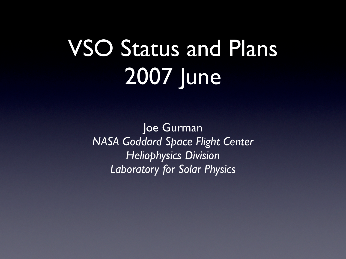# VSO Status and Plans 2007 June

Joe Gurman *NASA Goddard Space Flight Center Heliophysics Division Laboratory for Solar Physics*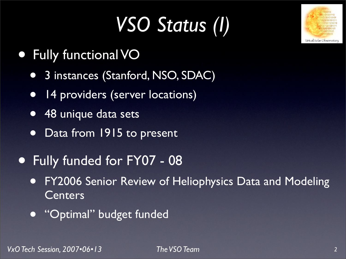# *VSO Status (I)*



- Fully functional VO
	- **3 instances (Stanford, NSO, SDAC)**
	- 14 providers (server locations)
	- 48 unique data sets
	- Data from 1915 to present
- Fully funded for FY07 08
	- **FY2006 Senior Review of Heliophysics Data and Modeling** Centers
	- **Coptimal' budget funded**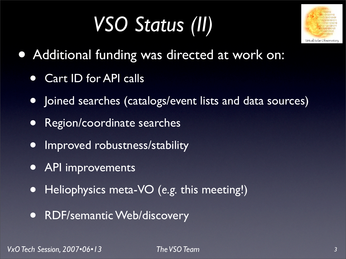## *VSO Status (II)*



- Additional funding was directed at work on:
	- Cart ID for API calls
	- Joined searches (catalogs/event lists and data sources)
	- Region/coordinate searches
	- Improved robustness/stability
	- API improvements
	- Heliophysics meta-VO (*e.g.* this meeting!)
	- **RDF/semantic Web/discovery**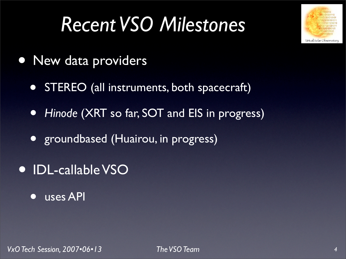#### *Recent VSO Milestones*



- New data providers
	- STEREO (all instruments, both spacecraft)
	- *• Hinode* (XRT so far, SOT and EIS in progress)
	- *•* groundbased (Huairou, in progress)
- *•* IDL-callable VSO
	- *•* uses API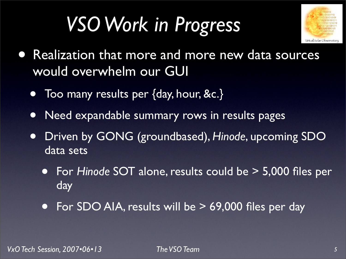## *VSO Work in Progress*



- Realization that more and more new data sources would overwhelm our GUI
	- Too many results per {day, hour, &c.}
	- Need expandable summary rows in results pages
	- Driven by GONG (groundbased), *Hinode*, upcoming SDO data sets
		- For *Hinode* SOT alone, results could be > 5,000 files per **day**
		- For SDO AIA, results will be > 69,000 files per day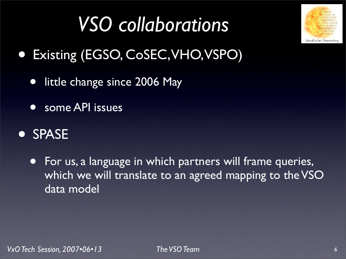

## *VSO collaborations*

- Existing (EGSO, CoSEC,VHO,VSPO)
	- little change since 2006 May
	- some API issues

#### • SPASE

• For us, a language in which partners will frame queries, which we will translate to an agreed mapping to the VSO data model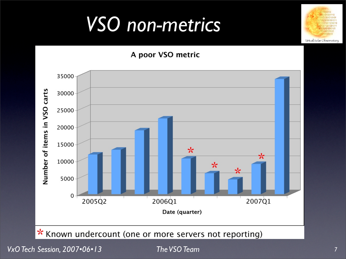#### *VSO non-metrics*



\* Known undercount (one or more servers not reporting)

*VxO Tech Session, 2007•06•13 The VSO Team*

Virtual Solar Observatory